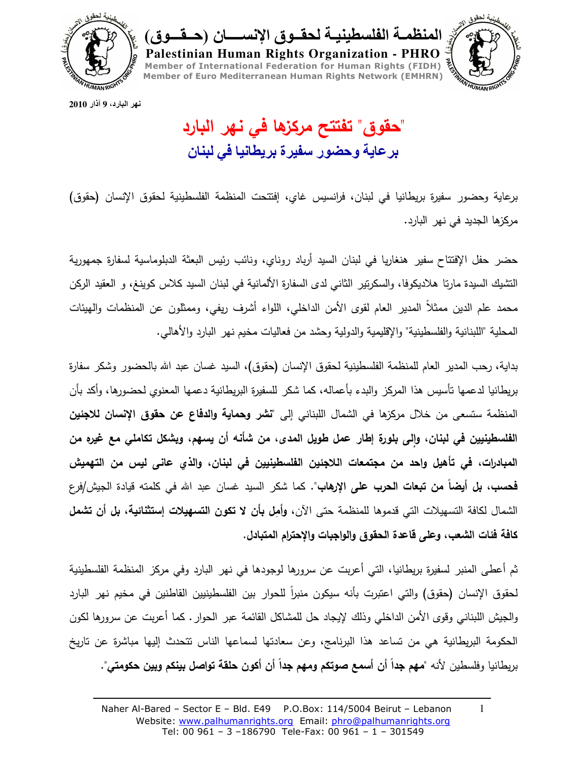

ر المنظمــة الفلسطينيــة لـحقــوق الإنســـــان (حــقـــوق) Palestinian Human Rights Organization - PHRO Member of International Federation for Human Rights (FIDH) Member of Euro Mediterranean Human Rights Network (EMHRN) **WHUMAN RIGHT** 

نهر البارد، 9 آذار 2010

"حقوق" تفتتح مركزها في نـهر البارد بر عاية وحضور سفيرة بريطانيا في لبنان

برعاية وحضور سفيرة بريطانيا في لبنان، فرانسيس غاي، اِفتتحت المنظمة الفلسطينية لحقوق الإنسان (حقوق) مركزها الجديد في نهر البارد.

حضر حفل الإفتتاح سفير هنغاريا في لبنان السيد أرباد روناي، ونائب رئيس البعثة الدبلوماسية لسفارة جمهورية التشيك السيدة مارنا هلاديكوفا، والسكرتير الثاني لدى السفارة الألمانية في لبنان السيد كلاس كوينغ، و العقيد الركن محمد علم الدين ممثلاً المدير العام لقوى الأمن الداخلي، اللواء أشرف ريفي، وممثلون عن المنظمات والهيئات المحلية "اللبنانية والفلسطينية" والإقليمية والدولية وحشد من فعاليات مخيم نهر البارد والأهالي.

بداية، رحب المدير العام للمنظمة الفلسطينية لـحقوق الإنسان (حقوق)، السيد غسان عبد الله بالـحضور وشكر سفارة بريطانيا لدعمها تأسيس هذا المركز والبدء بأعماله، كما شكر للسفيرة البريطانية دعمها المعنوي لحضورها، وأكد بأن المنظمة ستسعى من خلال مركزها في الشمال اللبناني إلى "**نشر وحماية والدفاع عن حقوق الإنسان للاجئين** الفلسطينيين في لبنان، والي بلورة إطار عمل طويل المدى، من شأنه أن يسهم، ويشكل تكاملي مع غيره من المبادرات، في تأهيل واحد من مجتمعات اللاجئين الفلسطينيين في لبنان، والذي عاني ليس من التهميش **فُحسب، بل أيضاً من تبعات الحرب على الإرهاب".** كما شكر السيد غسان عبد الله في كلمته قيادة الجيش/فرع الشمال لكافة التسهيلات التي قدموها للمنظمة حتى الآن، وأمل بأن لا تكون التسهيلات إستثنائية، بل أن تشمل كافة فئات الشعب، وعلى قاعدة الحقوق والواجبات والإحترام المتبادل.

ثم أعطي المنبر لسفيرة بريطانيا، التي أعربت عن سرورها لوجودها في نهر البارد وفي مركز المنظمة الفلسطينية لحقوق الإنسان (حقوق) والتي اعتبرت بأنه سيكون منبرا للحوار بين الفلسطينيين القاطنين في مخيم نهر البارد والجيش اللبناني وقوى الأمن الداخلي وذلك لإيجاد حل للمشاكل القائمة عبر الحوار . كما أعربت عن سرورها لكون الحكومة البريطانية هي من تساعد هذا البرنامج، وعن سعادتها لسماعها الناس نتحدث إليها مباشرة عن تاريخ بريطانيا وفلسطين لأنه "مهم جداً أن أسمع صوتكم ومهم جداً أن أكون حلقة تواصل بينكم وبين حكومتي".